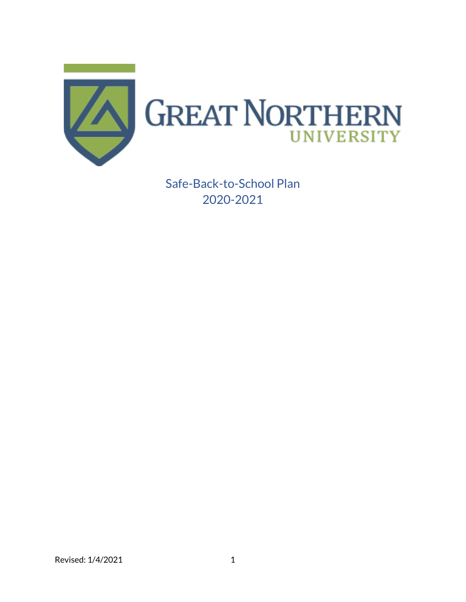

Safe-Back-to-School Plan 2020-2021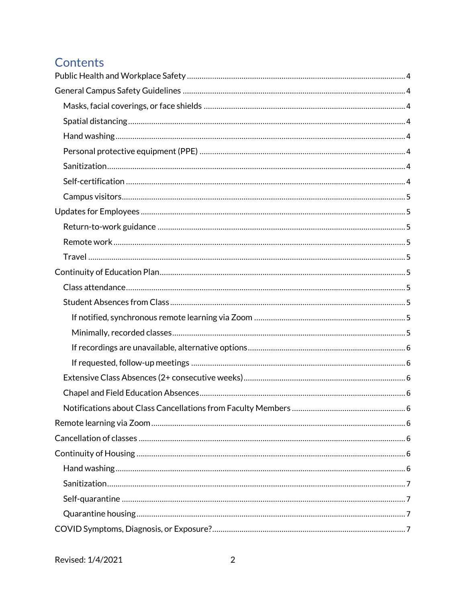# Contents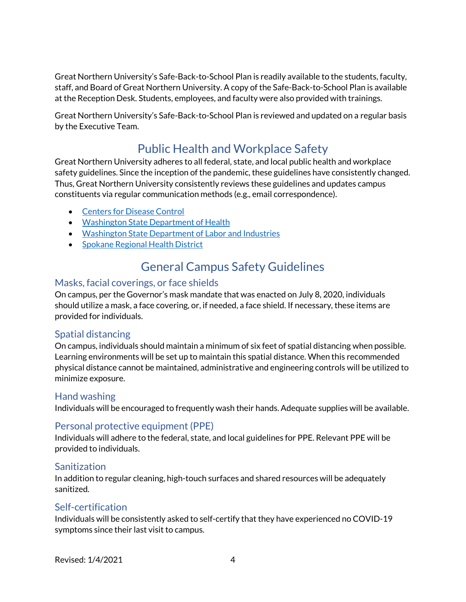Great Northern University's Safe-Back-to-School Plan is readily available to the students, faculty, staff, and Board of Great Northern University. A copy of the Safe-Back-to-School Plan is available at the Reception Desk. Students, employees, and faculty were also provided with trainings.

Great Northern University's Safe-Back-to-School Plan is reviewed and updated on a regular basis by the Executive Team.

# Public Health and Workplace Safety

<span id="page-3-0"></span>Great Northern University adheres to all federal, state, and local public health and workplace safety guidelines. Since the inception of the pandemic, these guidelines have consistently changed. Thus, Great Northern University consistently reviews these guidelines and updates campus constituents via regular communication methods (e.g., email correspondence).

- [Centers for Disease Control](https://www.cdc.gov/coronavirus/2019-ncov/community/colleges-universities/index.html)
- [Washington State Department of Health](https://www.doh.wa.gov/)
- [Washington State Department of Labor and Industries](https://lni.wa.gov/)
- [Spokane Regional Health District](https://srhd.org/covid19)

## General Campus Safety Guidelines

## <span id="page-3-2"></span><span id="page-3-1"></span>Masks, facial coverings, or face shields

On campus, per the Governor's mask mandate that was enacted on July 8, 2020, individuals should utilize a mask, a face covering, or, if needed, a face shield. If necessary, these items are provided for individuals.

## <span id="page-3-3"></span>Spatial distancing

On campus, individuals should maintain a minimum of six feet of spatial distancing when possible. Learning environments will be set up to maintain this spatial distance. When this recommended physical distance cannot be maintained, administrative and engineering controls will be utilized to minimize exposure.

## <span id="page-3-4"></span>Hand washing

Individuals will be encouraged to frequently wash their hands. Adequate supplies will be available.

## <span id="page-3-5"></span>Personal protective equipment (PPE)

Individuals will adhere to the federal, state, and local guidelines for PPE. Relevant PPE will be provided to individuals.

## <span id="page-3-6"></span>**Sanitization**

In addition to regular cleaning, high-touch surfaces and shared resources will be adequately sanitized.

## <span id="page-3-7"></span>Self-certification

Individuals will be consistently asked to self-certify that they have experienced no COVID-19 symptoms since their last visit to campus.

Revised: 1/4/2021 4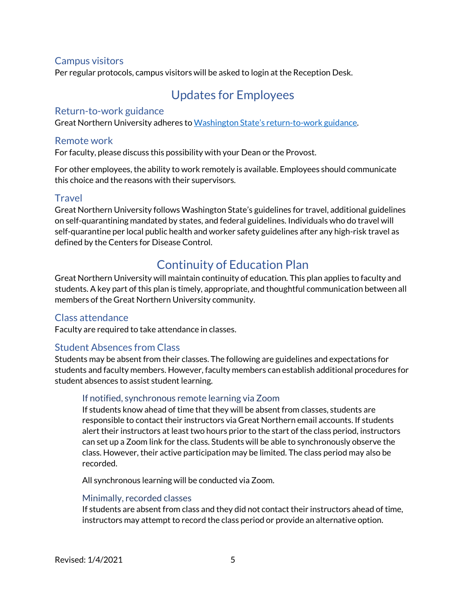## <span id="page-4-0"></span>Campus visitors

<span id="page-4-1"></span>Per regular protocols, campus visitors will be asked to login at the Reception Desk.

## Updates for Employees

#### <span id="page-4-2"></span>Return-to-work guidance

Great Northern University adheres to [Washington State's return](https://www.lni.wa.gov/safety-health/safety-topics/topics/coronavirus#requirements-and-policies)-to-work guidance.

#### <span id="page-4-3"></span>Remote work

For faculty, please discuss this possibility with your Dean or the Provost.

For other employees, the ability to work remotely is available. Employees should communicate this choice and the reasons with their supervisors.

#### <span id="page-4-4"></span>Travel

Great Northern University follows Washington State's guidelines for travel, additional guidelines on self-quarantining mandated by states, and federal guidelines. Individuals who do travel will self-quarantine per local public health and worker safety guidelines after any high-risk travel as defined by the Centers for Disease Control.

## Continuity of Education Plan

<span id="page-4-5"></span>Great Northern University will maintain continuity of education. This plan applies to faculty and students. A key part of this plan is timely, appropriate, and thoughtful communication between all members of the Great Northern University community.

#### <span id="page-4-6"></span>Class attendance

Faculty are required to take attendance in classes.

## <span id="page-4-7"></span>Student Absences from Class

Students may be absent from their classes. The following are guidelines and expectations for students and faculty members. However, faculty members can establish additional procedures for student absences to assist student learning.

#### <span id="page-4-8"></span>If notified, synchronous remote learning via Zoom

If students know ahead of time that they will be absent from classes, students are responsible to contact their instructors via Great Northern email accounts. If students alert their instructors at least two hours prior to the start of the class period, instructors can set up a Zoom link for the class. Students will be able to synchronously observe the class. However, their active participation may be limited. The class period may also be recorded.

All synchronous learning will be conducted via Zoom.

#### <span id="page-4-9"></span>Minimally, recorded classes

If students are absent from class and they did not contact their instructors ahead of time, instructors may attempt to record the class period or provide an alternative option.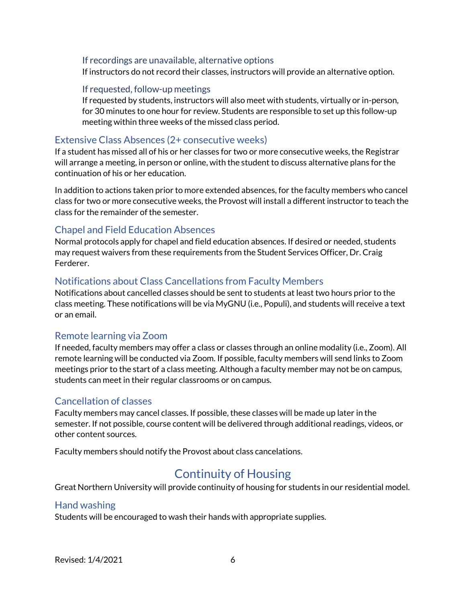#### <span id="page-5-0"></span>If recordings are unavailable, alternative options

If instructors do not record their classes, instructors will provide an alternative option.

#### <span id="page-5-1"></span>If requested, follow-up meetings

If requested by students, instructors will also meet with students, virtually or in-person, for 30 minutes to one hour for review. Students are responsible to set up this follow-up meeting within three weeks of the missed class period.

#### <span id="page-5-2"></span>Extensive Class Absences (2+ consecutive weeks)

If a student has missed all of his or her classes for two or more consecutive weeks, the Registrar will arrange a meeting, in person or online, with the student to discuss alternative plans for the continuation of his or her education.

In addition to actions taken prior to more extended absences, for the faculty members who cancel class for two or more consecutive weeks, the Provost will install a different instructor to teach the class for the remainder of the semester.

#### <span id="page-5-3"></span>Chapel and Field Education Absences

Normal protocols apply for chapel and field education absences. If desired or needed, students may request waivers from these requirements from the Student Services Officer, Dr. Craig Ferderer.

#### <span id="page-5-4"></span>Notifications about Class Cancellations from Faculty Members

Notifications about cancelled classes should be sent to students at least two hours prior to the class meeting. These notifications will be via MyGNU (i.e., Populi), and students will receive a text or an email.

#### <span id="page-5-5"></span>Remote learning via Zoom

If needed, faculty members may offer a class or classes through an online modality (i.e., Zoom). All remote learning will be conducted via Zoom. If possible, faculty members will send links to Zoom meetings prior to the start of a class meeting. Although a faculty member may not be on campus, students can meet in their regular classrooms or on campus.

#### <span id="page-5-6"></span>Cancellation of classes

Faculty members may cancel classes. If possible, these classes will be made up later in the semester. If not possible, course content will be delivered through additional readings, videos, or other content sources.

<span id="page-5-7"></span>Faculty members should notify the Provost about class cancelations.

## Continuity of Housing

Great Northern University will provide continuity of housing for students in our residential model.

#### <span id="page-5-8"></span>Hand washing

Students will be encouraged to wash their hands with appropriate supplies.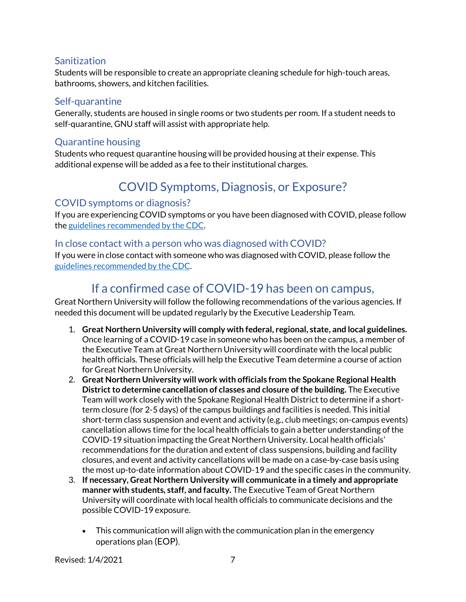## <span id="page-6-0"></span>**Sanitization**

Students will be responsible to create an appropriate cleaning schedule for high-touch areas, bathrooms, showers, and kitchen facilities.

## <span id="page-6-1"></span>Self-quarantine

Generally, students are housed in single rooms or two students per room. If a student needs to self-quarantine, GNU staff will assist with appropriate help.

## <span id="page-6-2"></span>Quarantine housing

Students who request quarantine housing will be provided housing at their expense. This additional expense will be added as a fee to their institutional charges.

# COVID Symptoms, Diagnosis, or Exposure?

## <span id="page-6-4"></span><span id="page-6-3"></span>COVID symptoms or diagnosis?

If you are experiencing COVID symptoms or you have been diagnosed with COVID, please follow th[e guidelines recommended by the CDC.](https://www.cdc.gov/coronavirus/2019-ncov/if-you-are-sick/steps-when-sick.html)

## <span id="page-6-5"></span>In close contact with a person who was diagnosed with COVID?

If you were in close contact with someone who was diagnosed with COVID, please follow the [guidelines recommended by the CDC.](https://www.cdc.gov/coronavirus/2019-ncov/if-you-are-sick/quarantine.html)

## If a confirmed case of COVID-19 has been on campus,

<span id="page-6-6"></span>Great Northern University will follow the following recommendations of the various agencies. If needed this document will be updated regularly by the Executive Leadership Team.

- 1. **Great Northern University will comply with federal, regional, state, and local guidelines.**  Once learning of a COVID-19 case in someone who has been on the campus, a member of the Executive Team at Great Northern University will coordinate with the local public health officials. These officials will help the Executive Team determine a course of action for Great Northern University.
- 2. **Great Northern University will work with officials from the Spokane Regional Health District to determine cancellation of classes and closure of the building.** The Executive Team will work closely with the Spokane Regional Health District to determine if a shortterm closure (for 2-5 days) of the campus buildings and facilities is needed. This initial short-term class suspension and event and activity (e.g., club meetings; on-campus events) cancellation allows time for the local health officials to gain a better understanding of the COVID-19 situation impacting the Great Northern University. Local health officials' recommendations for the duration and extent of class suspensions, building and facility closures, and event and activity cancellations will be made on a case-by-case basis using the most up-to-date information about COVID-19 and the specific cases in the community.
- 3. **If necessary, Great Northern University will communicate in a timely and appropriate manner with students, staff, and faculty.** The Executive Team of Great Northern University will coordinate with local health officials to communicate decisions and the possible COVID-19 exposure.
	- This communication will align with the communication plan in the emergency operations plan (EOP).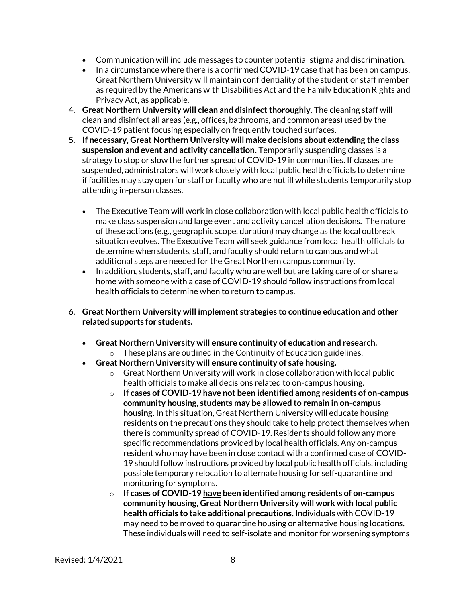- Communication will include messages to counter potential [stigma](https://www.cdc.gov/coronavirus/2019-ncov/daily-life-coping/reducing-stigma.html) and discrimination.
- In a circumstance where there is a confirmed COVID-19 case that has been on campus, Great Northern University will maintain confidentiality of the student or staff member as required by the Americans with Disabilities Act and the Family Education Rights and Privacy Act, as applicable.
- 4. **Great Northern University will clean and disinfect thoroughly.** The cleaning staff will clean and disinfect all areas (e.g., offices, bathrooms, and common areas) used by the COVID-19 patient focusing especially on frequently touched surfaces.
- 5. **If necessary, Great Northern University will make decisions about extending the class suspension and event and activity cancellation.** Temporarily suspending classes is a strategy to stop or slow the further spread of COVID-19 in communities. If classes are suspended, administrators will work closely with local public health officials to determine if facilities may stay open for staff or faculty who are not ill while students temporarily stop attending in-person classes.
	- The Executive Team will work in close collaboration with local public health officials to make class suspension and large event and activity cancellation decisions. The nature of these actions (e.g., geographic scope, duration) may change as the local outbreak situation evolves. The Executive Team will seek guidance from local health officials to determine when students, staff, and faculty should return to campus and what additional steps are needed for the Great Northern campus community.
	- In addition, students, staff, and faculty who are well but are taking care of or share a home with someone with a case of COVID-19 should follow instructions from local health officials to determine when to return to campus.
- 6. **Great Northern University will implement strategies to continue education and other related supports for students.**
	- **Great Northern University will ensure continuity of education and research.**  $\circ$  These plans are outlined in the Continuity of Education guidelines.
	- **Great Northern University will ensure continuity of safe housing.**
		- $\circ$  Great Northern University will work in close collaboration with local public health officials to make all decisions related to on-campus housing.
		- o **If cases of COVID-19 have not been identified among residents of on-campus community housing**, **students may be allowed to remain in on-campus housing.** In this situation, Great Northern University will educate housing residents on the precautions they should take to help protect themselves when there is community spread of COVID-19. Residents should follow any more specific recommendations provided by local health officials. Any on-campus resident who may have been in close contact with a confirmed case of COVID-19 should follow instructions provided by local public health officials, including possible temporary relocation to alternate housing for self-quarantine and monitoring for symptoms.
		- o **If cases of COVID-19 have been identified among residents of on-campus community housing, Great Northern University will work with local public health officials to take additional precautions.** Individuals with COVID-19 may need to be moved to quarantine housing or alternative housing locations. These individuals will need to self-isolate and monitor for worsening symptoms